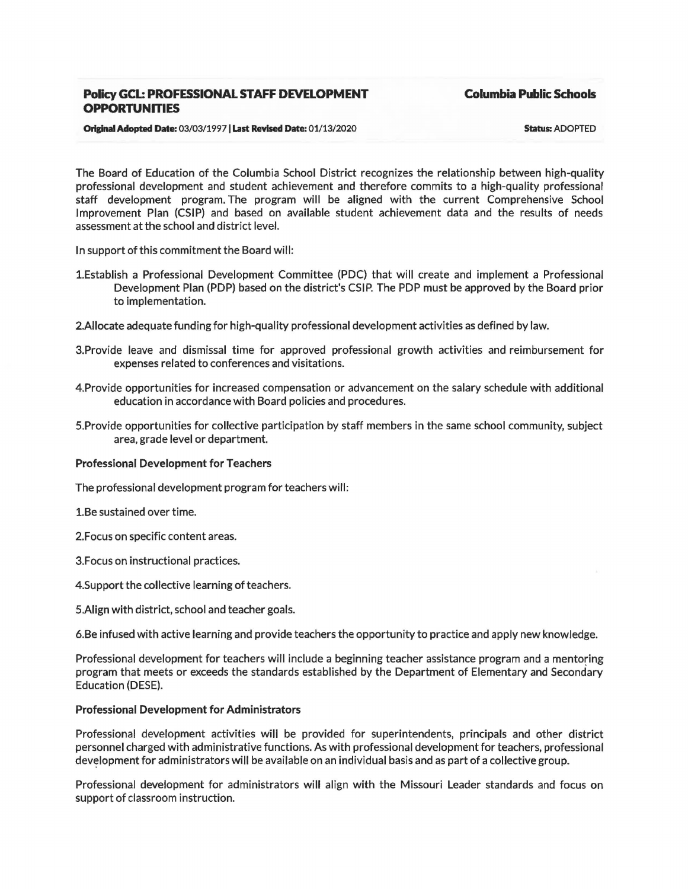# **Policy GCL: PROFESSIONAL STAFF DEVELOPMENT OPPORTUNITIES**

**Columbia Public Schools** 

#### **Original Adopted Date:** 03/03/19971 **Last Revised Date:** 01/13/2020

Status: ADOPTED

The Board of Education of the Columbia School District recognizes the relationship between high-quality professional development and student achievement and therefore commits to a high-quality professional staff development program. The program will be aligned with the current Comprehensive School Improvement Plan (CSIP) and based on available student achievement data and the results of needs assessment at the school and district level.

In support of this commitment the Board will:

- 1.Establish a Professional Development Committee (PDC) that will create and implement a Professional Development Plan (PDP) based on the district's CSIP. The PDP must be approved by the Board prior to implementation.
- 2.AIIocate adequate funding for high-quality professional development activities as defined by law.
- 3.Provide leave and dismissal time for approved professional growth activities and reimbursement for expenses related to conferences and visitations.
- 4.Provide opportunities for increased compensation or advancement on the salary schedule with additional education in accordance with Board policies and procedures.
- S.Provide opportunities for collective participation by staff members in the same school community, subject area, grade level or department.

### Professional Development for Teachers

The professional development program for teachers will:

l.Be sustained over time.

- 2.Focus on specific content areas.
- 3.Focus on instructional practices.
- 4.Support the collective learning of teachers.
- S.Aiign with district, school and teacher goals.

6.Be infused with active learning and provide teachers the opportunity to practice and apply new knowledge.

Professional development for teachers will include a beginning teacher assistance program and a mentoring program that meets or exceeds the standards established by the Department of Elementary and Secondary Education (DESE).

# Professional Development for Administrators

Professional development activities will be provided for superintendents, principals and other district personnel charged with administrative functions. As with professional development for teachers, professional development for administrators will be available on an individual basis and as part of a collective group.

Professional development for administrators will align with the Missouri Leader standards and focus on support of classroom instruction.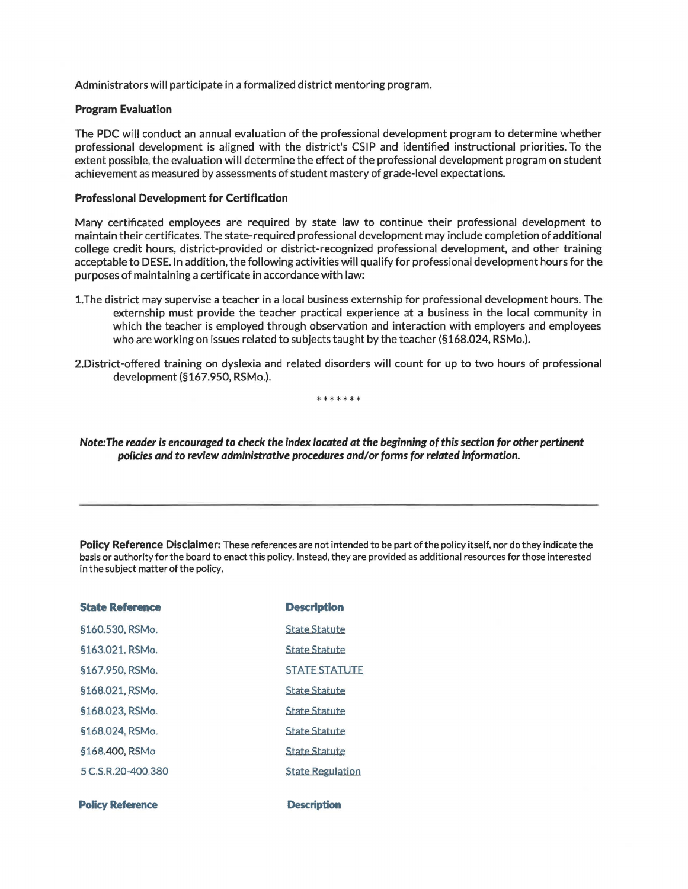Administrators will participate in a formalized district mentoring program.

### Program Evaluation

The PDC will conduct an annual evaluation of the professional development program to determine whether professional development is aligned with the district's CSIP and identified instructional priorities. To the extent possible, the evaluation will determine the effect of the professional development program on student achievement as measured by assessments of student mastery of grade-level expectations.

#### Professional Development for Certification

Many certificated employees are required by state law to continue their professional development to maintain their certificates. The state-required professional development may include completion of additional college credit hours, district-provided or district-recognized professional development, and other training acceptable to DESE.In addition, the following activities will qualify for professional development hours for the purposes of maintaining a certificate in accordance with law:

- 1.The district may supervise a teacher in a local business externship for professional development hours. The externship must provide the teacher practical experience at a business in the local community in which the teacher is employed through observation and interaction with employers and employees who are working on issues related to subjects taught by the teacher (§168.024, RSMo.).
- 2.District-offered training on dyslexia and related disorders will count for up to two hours of professional development (§167.950, RSMo.).

\*\*\*\*\*\*

Note: The reader is encouraged to check the index located at the beginning of this section tor other pertinent policies and to review administrative procedures and/or forms for related information.

Policy Reference Disclaimer: These references are not intended to be part of the policy itself, nor do they indicate the basis or authority for the board to enact this policy. Instead, they are provided as additional resources for those interested in the subject matter of the policy.

| <b>State Reference</b>  | <b>Description</b>      |
|-------------------------|-------------------------|
| §160.530, RSMo.         | <b>State Statute</b>    |
| §163.021. RSMo.         | <b>State Statute</b>    |
| §167.950, RSMo.         | <b>STATE STATUTE</b>    |
| §168.021, RSMo.         | <b>State Statute</b>    |
| §168.023, RSMo.         | <b>State Statute</b>    |
| §168.024. RSMo.         | <b>State Statute</b>    |
| §168.400, RSMo          | <b>State Statute</b>    |
| 5 C.S.R.20-400.380      | <b>State Regulation</b> |
|                         |                         |
| <b>Policy Reference</b> | <b>Description</b>      |